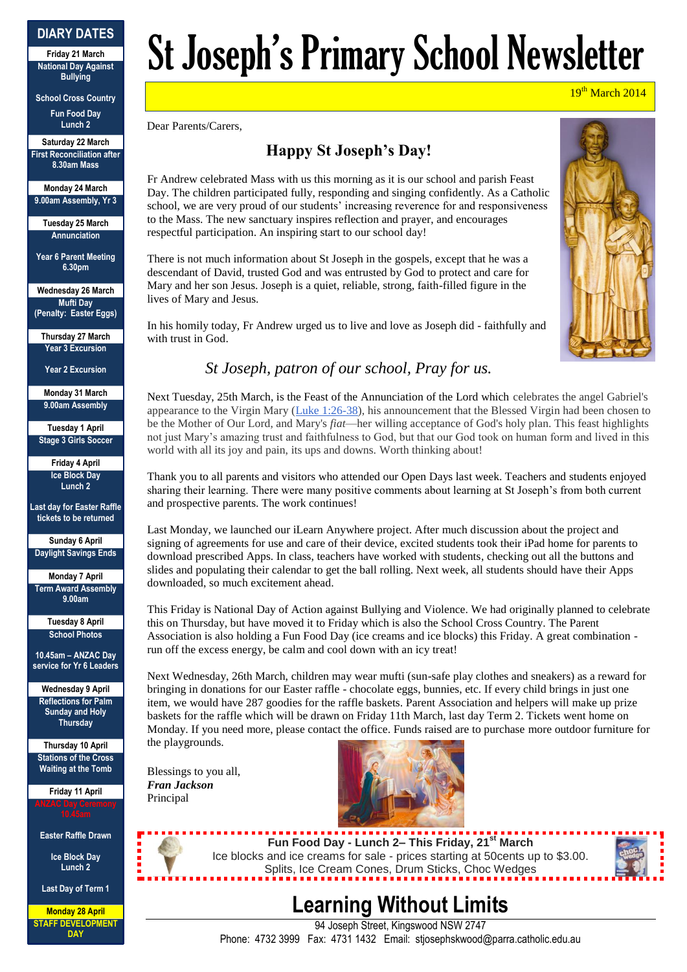#### **DIARY DATES**

**Friday 21 March National Day Against Bullying**

**School Cross Country Fun Food Day Lunch 2**

**Saturday 22 March First Reconciliation after 8.30am Mass**

**Monday 24 March 9.00am Assembly, Yr 3**

**Tuesday 25 March Annunciation**

**Year 6 Parent Meeting 6.30pm**

**Wednesday 26 March Mufti Day (Penalty: Easter Eggs)**

**Thursday 27 March Year 3 Excursion**

**Year 2 Excursion**

**Monday 31 March 9.00am Assembly**

**Tuesday 1 April Stage 3 Girls Soccer**

**Friday 4 April Ice Block Day Lunch 2**

**Last day for Easter Raffle tickets to be returned**

**Sunday 6 April Daylight Savings Ends**

**Monday 7 April Term Award Assembly 9.00am**

**Tuesday 8 April School Photos**

**10.45am – ANZAC Day service for Yr 6 Leaders**

**Wednesday 9 April Reflections for Palm Sunday and Holy Thursday**

**Thursday 10 April Stations of the Cross Waiting at the Tomb**

**Friday 11 April**

**Easter Raffle Drawn**

**Ice Block Day Lunch 2**

**Last Day of Term 1**

**Monday 28 April STAFF DEVELOPMENT DAY**

# St Joseph's Primary School Newsletter

19<sup>th</sup> March 2014

Dear Parents/Carers,

## **Happy St Joseph's Day!**

Fr Andrew celebrated Mass with us this morning as it is our school and parish Feast Day. The children participated fully, responding and singing confidently. As a Catholic school, we are very proud of our students' increasing reverence for and responsiveness to the Mass. The new sanctuary inspires reflection and prayer, and encourages respectful participation. An inspiring start to our school day!

There is not much information about St Joseph in the gospels, except that he was a descendant of David, trusted God and was entrusted by God to protect and care for Mary and her son Jesus. Joseph is a quiet, reliable, strong, faith-filled figure in the lives of Mary and Jesus.

In his homily today, Fr Andrew urged us to live and love as Joseph did - faithfully and with trust in God.



### *St Joseph, patron of our school, Pray for us.*

Next Tuesday, 25th March, is the Feast of the Annunciation of the Lord which celebrates the angel Gabriel's appearance to the Virgin Mary [\(Luke 1:26-38\)](http://www.biblegateway.com/passage/?search=Luke%201:26-38;&version=63;), his announcement that the Blessed Virgin had been chosen to be the Mother of Our Lord, and Mary's *fiat*—her willing acceptance of God's holy plan. This feast highlights not just Mary's amazing trust and faithfulness to God, but that our God took on human form and lived in this world with all its joy and pain, its ups and downs. Worth thinking about!

Thank you to all parents and visitors who attended our Open Days last week. Teachers and students enjoyed sharing their learning. There were many positive comments about learning at St Joseph's from both current and prospective parents. The work continues!

Last Monday, we launched our iLearn Anywhere project. After much discussion about the project and signing of agreements for use and care of their device, excited students took their iPad home for parents to download prescribed Apps. In class, teachers have worked with students, checking out all the buttons and slides and populating their calendar to get the ball rolling. Next week, all students should have their Apps downloaded, so much excitement ahead.

This Friday is National Day of Action against Bullying and Violence. We had originally planned to celebrate this on Thursday, but have moved it to Friday which is also the School Cross Country. The Parent Association is also holding a Fun Food Day (ice creams and ice blocks) this Friday. A great combination run off the excess energy, be calm and cool down with an icy treat!

Next Wednesday, 26th March, children may wear mufti (sun-safe play clothes and sneakers) as a reward for bringing in donations for our Easter raffle - chocolate eggs, bunnies, etc. If every child brings in just one item, we would have 287 goodies for the raffle baskets. Parent Association and helpers will make up prize baskets for the raffle which will be drawn on Friday 11th March, last day Term 2. Tickets went home on Monday. If you need more, please contact the office. Funds raised are to purchase more outdoor furniture for the playgrounds.

Blessings to you all, *Fran Jackson* Principal



**Fun Food Day - Lunch 2– This Friday, 21st March** Ice blocks and ice creams for sale - prices starting at 50cents up to \$3.00. Splits, Ice Cream Cones, Drum Sticks, Choc Wedges



# **Learning Without Limits**

94 Joseph Street, Kingswood NSW 2747 Phone: 4732 3999 Fax: 4731 1432 Email: stjosephskwood@parra.catholic.edu.au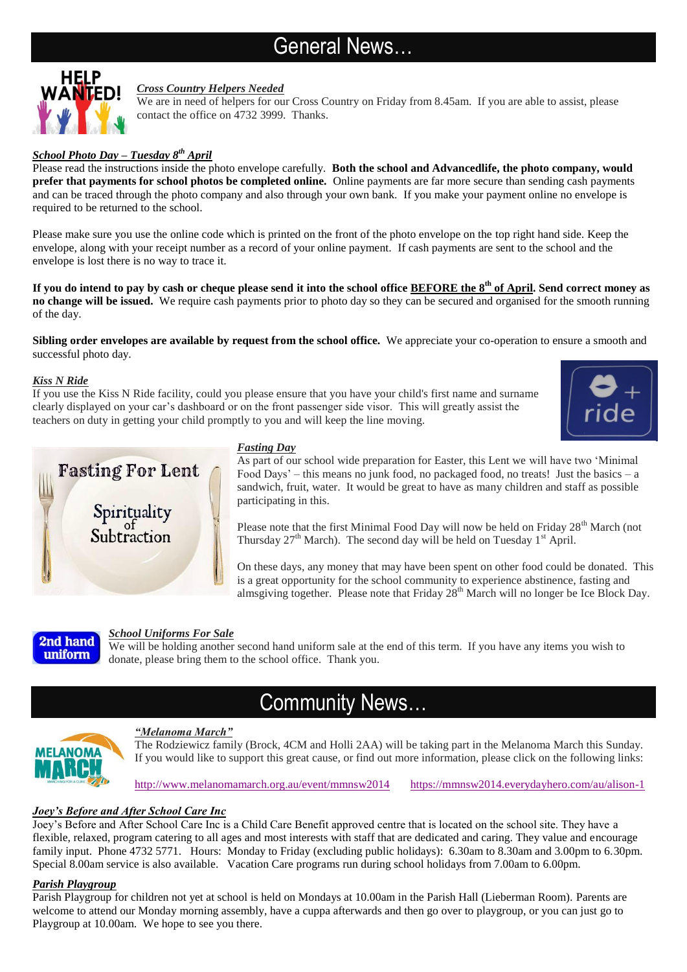# General News…



#### *Cross Country Helpers Needed*

We are in need of helpers for our Cross Country on Friday from 8.45am. If you are able to assist, please contact the office on 4732 3999. Thanks.

#### *School Photo Day – Tuesday 8th April*

Please read the instructions inside the photo envelope carefully. **Both the school and Advancedlife, the photo company, would prefer that payments for school photos be completed online.** Online payments are far more secure than sending cash payments and can be traced through the photo company and also through your own bank. If you make your payment online no envelope is required to be returned to the school.

Please make sure you use the online code which is printed on the front of the photo envelope on the top right hand side. Keep the envelope, along with your receipt number as a record of your online payment. If cash payments are sent to the school and the envelope is lost there is no way to trace it.

**If you do intend to pay by cash or cheque please send it into the school office BEFORE the 8th of April. Send correct money as no change will be issued.** We require cash payments prior to photo day so they can be secured and organised for the smooth running of the day.

**Sibling order envelopes are available by request from the school office.** We appreciate your co-operation to ensure a smooth and successful photo day.

#### *Kiss N Ride*

If you use the Kiss N Ride facility, could you please ensure that you have your child's first name and surname clearly displayed on your car's dashboard or on the front passenger side visor. This will greatly assist the teachers on duty in getting your child promptly to you and will keep the line moving.





#### *Fasting Day*

As part of our school wide preparation for Easter, this Lent we will have two 'Minimal Food Days' – this means no junk food, no packaged food, no treats! Just the basics – a sandwich, fruit, water. It would be great to have as many children and staff as possible participating in this.

Please note that the first Minimal Food Day will now be held on Friday  $28<sup>th</sup>$  March (not Thursday  $27<sup>th</sup>$  March). The second day will be held on Tuesday 1<sup>st</sup> April.

On these days, any money that may have been spent on other food could be donated. This is a great opportunity for the school community to experience abstinence, fasting and almsgiving together. Please note that Friday  $28<sup>th</sup>$  March will no longer be Ice Block Day.



#### *School Uniforms For Sale*

We will be holding another second hand uniform sale at the end of this term. If you have any items you wish to donate, please bring them to the school office. Thank you.

## Community News…



#### *"Melanoma March"*

The Rodziewicz family (Brock, 4CM and Holli 2AA) will be taking part in the Melanoma March this Sunday. If you would like to support this great cause, or find out more information, please click on the following links:

<http://www.melanomamarch.org.au/event/mmnsw2014><https://mmnsw2014.everydayhero.com/au/alison-1>

#### *Joey's Before and After School Care Inc*

Joey's Before and After School Care Inc is a Child Care Benefit approved centre that is located on the school site. They have a flexible, relaxed, program catering to all ages and most interests with staff that are dedicated and caring. They value and encourage family input. Phone 4732 5771. Hours: Monday to Friday (excluding public holidays): 6.30am to 8.30am and 3.00pm to 6.30pm. Special 8.00am service is also available. Vacation Care programs run during school holidays from 7.00am to 6.00pm.

#### *Parish Playgroup*

Parish Playgroup for children not yet at school is held on Mondays at 10.00am in the Parish Hall (Lieberman Room). Parents are welcome to attend our Monday morning assembly, have a cuppa afterwards and then go over to playgroup, or you can just go to Playgroup at 10.00am. We hope to see you there.